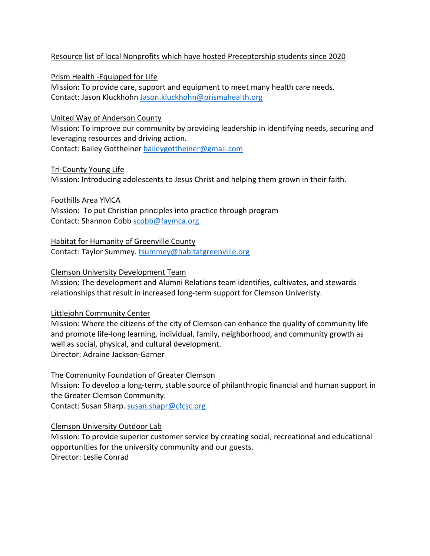# Resource list of local Nonprofits which have hosted Preceptorship students since 2020

Prism Health -Equipped for Life

Mission: To provide care, support and equipment to meet many health care needs. Contact: Jason Kluckhohn Jason.kluckhohn@prismahealth.org

## United Way of Anderson County

Mission: To improve our community by providing leadership in identifying needs, securing and leveraging resources and driving action.

Contact: Bailey Gottheiner baileygottheiner@gmail.com

## Tri-County Young Life

Mission: Introducing adolescents to Jesus Christ and helping them grown in their faith.

Foothills Area YMCA

Mission: To put Christian principles into practice through program Contact: Shannon Cobb scobb@faymca.org

Habitat for Humanity of Greenville County Contact: Taylor Summey. tsummey@habitatgreenville.org

## Clemson University Development Team

Mission: The development and Alumni Relations team identifies, cultivates, and stewards relationships that result in increased long-term support for Clemson Univeristy.

## Littlejohn Community Center

Mission: Where the citizens of the city of Clemson can enhance the quality of community life and promote life-long learning, individual, family, neighborhood, and community growth as well as social, physical, and cultural development. Director: Adraine Jackson-Garner

## The Community Foundation of Greater Clemson

Mission: To develop a long-term, stable source of philanthropic financial and human support in the Greater Clemson Community.

Contact: Susan Sharp. susan.shapr@cfcsc.org

## Clemson University Outdoor Lab

Mission: To provide superior customer service by creating social, recreational and educational opportunities for the university community and our guests. Director: Leslie Conrad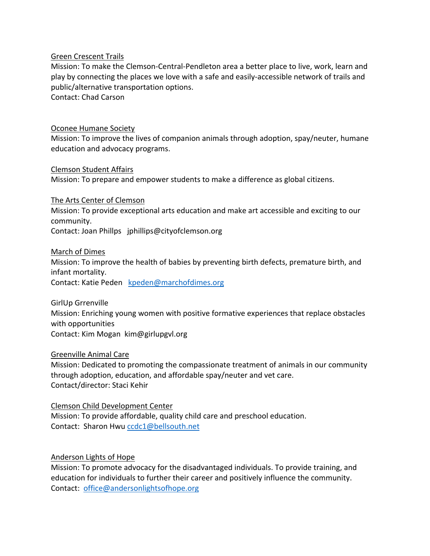#### Green Crescent Trails

Mission: To make the Clemson-Central-Pendleton area a better place to live, work, learn and play by connecting the places we love with a safe and easily-accessible network of trails and public/alternative transportation options.

Contact: Chad Carson

#### Oconee Humane Society

Mission: To improve the lives of companion animals through adoption, spay/neuter, humane education and advocacy programs.

#### Clemson Student Affairs

Mission: To prepare and empower students to make a difference as global citizens.

#### The Arts Center of Clemson

Mission: To provide exceptional arts education and make art accessible and exciting to our community.

Contact: Joan Phillps jphillips@cityofclemson.org

#### March of Dimes

Mission: To improve the health of babies by preventing birth defects, premature birth, and infant mortality.

Contact: Katie Peden kpeden@marchofdimes.org

GirlUp Grrenville Mission: Enriching young women with positive formative experiences that replace obstacles with opportunities Contact: Kim Mogan kim@girlupgvl.org

## Greenville Animal Care

Mission: Dedicated to promoting the compassionate treatment of animals in our community through adoption, education, and affordable spay/neuter and vet care. Contact/director: Staci Kehir

#### Clemson Child Development Center

Mission: To provide affordable, quality child care and preschool education. Contact: Sharon Hwu ccdc1@bellsouth.net

## Anderson Lights of Hope

Mission: To promote advocacy for the disadvantaged individuals. To provide training, and education for individuals to further their career and positively influence the community. Contact: office@andersonlightsofhope.org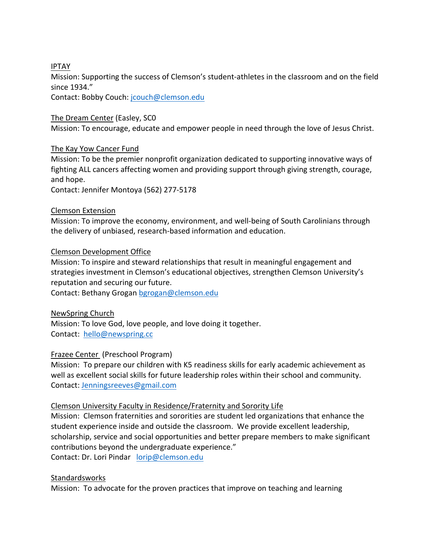# IPTAY

Mission: Supporting the success of Clemson's student-athletes in the classroom and on the field since 1934."

Contact: Bobby Couch: jcouch@clemson.edu

## The Dream Center (Easley, SC0

Mission: To encourage, educate and empower people in need through the love of Jesus Christ.

## The Kay Yow Cancer Fund

Mission: To be the premier nonprofit organization dedicated to supporting innovative ways of fighting ALL cancers affecting women and providing support through giving strength, courage, and hope.

Contact: Jennifer Montoya (562) 277-5178

## Clemson Extension

Mission: To improve the economy, environment, and well-being of South Carolinians through the delivery of unbiased, research-based information and education.

## Clemson Development Office

Mission: To inspire and steward relationships that result in meaningful engagement and strategies investment in Clemson's educational objectives, strengthen Clemson University's reputation and securing our future.

Contact: Bethany Grogan bgrogan@clemson.edu

#### NewSpring Church

Mission: To love God, love people, and love doing it together. Contact: hello@newspring.cc

## Frazee Center (Preschool Program)

Mission: To prepare our children with K5 readiness skills for early academic achievement as well as excellent social skills for future leadership roles within their school and community. Contact: Jenningsreeves@gmail.com

## Clemson University Faculty in Residence/Fraternity and Sorority Life

Mission: Clemson fraternities and sororities are student led organizations that enhance the student experience inside and outside the classroom. We provide excellent leadership, scholarship, service and social opportunities and better prepare members to make significant contributions beyond the undergraduate experience."

Contact: Dr. Lori Pindar lorip@clemson.edu

## Standardsworks

Mission: To advocate for the proven practices that improve on teaching and learning